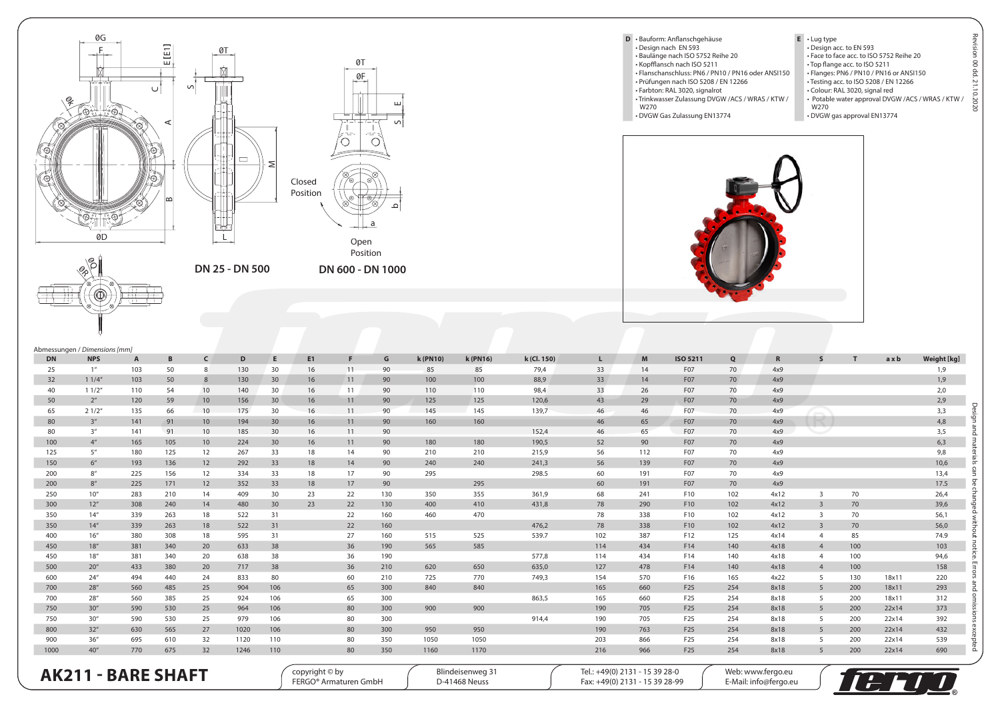



E

 $\overline{S}$ 

ء

 $\, \, \,$ გ &,

╤╪╪ 구표







- Prüfungen nach ISO 5208 / EN 12266 • Farbton: RAL 3020, signalrot • Trinkwasser Zulassung DVGW /ACS / WRAS / KTW /
- W270
- DVGW Gas Zulassung EN13774
- **E** Lug type Design acc. to EN 593 Face to face acc. to ISO 5752 Reihe 20 • Top flange acc. to ISO 5211 • Flanges: PN6 / PN10 / PN16 or ANSI150 • Testing acc. to ISO 5208 / EN 12266 • Colour: RAL 3020, signal red • Potable water approval DVGW /ACS / WRAS / KTW / W270

Design and materials can be changed without notice. Errors and omissions excepted Revision 00 dd. 21.10.2020

Re

sion 00 dd. 21.10.2020

• DVGW gas approval EN13774



|            | Abmessungen / Dimensions [mm] |              |            |            |              |                 |                                         |          |            |                 |                                   |             |                                                                  |            |                                    |            |                                            |                         |            |                |             |
|------------|-------------------------------|--------------|------------|------------|--------------|-----------------|-----------------------------------------|----------|------------|-----------------|-----------------------------------|-------------|------------------------------------------------------------------|------------|------------------------------------|------------|--------------------------------------------|-------------------------|------------|----------------|-------------|
| <b>DN</b>  | <b>NPS</b>                    | $\mathsf{A}$ | B          | $\epsilon$ | D            | E               | E1                                      | F.       | G          | <b>k</b> (PN10) | k (PN16)                          | k (Cl. 150) | L.                                                               | M          | <b>ISO 5211</b>                    | Q          | $\mathbb{R}$                               | s                       | T          | axb            | Weight [kg] |
| 25         | 1 <sup>u</sup>                | 103          | 50         | 8          | 130          | 30              | 16                                      | 11       | 90         | 85              | 85                                | 79,4        | 33                                                               | 14         | F07                                | 70         | 4x9                                        |                         |            |                | 1,9         |
| 32         | 11/4''                        | 103          | 50         | 8          | 130          | 30              | 16                                      | 11       | 90         | 100             | 100                               | 88,9        | 33                                                               | 14         | F <sub>07</sub>                    | 70         | 4x9                                        |                         |            |                | 1,9         |
| 40         | 11/2''                        | 110          | 54         | 10         | 140          | 30              | 16                                      | 11       | 90         | 110             | 110                               | 98,4        | 33                                                               | 26         | F <sub>07</sub>                    | 70         | 4x9                                        |                         |            |                | 2,0         |
| 50         | 2 <sup>u</sup>                | 120          | 59         | 10         | 156          | 30              | 16                                      | 11       | 90         | 125             | 125                               | 120,6       | 43                                                               | 29         | F <sub>07</sub>                    | 70         | 4x9                                        |                         |            |                | 2,9         |
| 65         | 21/2"                         | 135          | 66         | 10         | 175          | 30              | 16                                      | 11       | 90         | 145             | 145                               | 139,7       | 46                                                               | 46         | F07                                | 70         | 4x9                                        |                         |            |                | 3,3         |
| 80         | 3 <sup>u</sup>                | 141          | 91         | 10         | 194          | 30 <sup>°</sup> | 16                                      | 11       | 90         | 160             | 160                               |             | 46                                                               | 65         | F07                                | 70         | 4x9                                        |                         |            |                | 4,8         |
| 80         | $3^{\prime\prime}$            | 141          | 91         | 10         | 185          | 30              | 16                                      | 11       | 90         |                 |                                   | 152,4       | 46                                                               | 65         | F07                                | 70         | 4x9                                        |                         |            |                | 3,5         |
| 100        | 4 <sup>u</sup>                | 165          | 105        | 10         | 224          | 30              | 16                                      | 11       | 90         | 180             | 180                               | 190,5       | 52                                                               | 90         | F07                                | 70         | 4x9                                        |                         |            |                | 6,3         |
| 125        | 5''                           | 180          | 125        | 12         | 267          | 33              | 18                                      | 14       | 90         | 210             | 210                               | 215,9       | 56                                                               | 112        | F07                                | 70         | 4x9                                        |                         |            |                | 9,8         |
| 150        | 6 <sup>''</sup>               | 193          | 136        | 12         | 292          | 33              | 18                                      | 14       | 90         | 240             | 240                               | 241,3       | 56                                                               | 139        | F <sub>07</sub>                    | 70         | 4x9                                        |                         |            |                | 10,6        |
| 200        | $8^{\prime\prime}$            | 225          | 156        | 12         | 334          | 33              | 18                                      | 17       | 90         | 295             |                                   | 298.5       | 60                                                               | 191        | F <sub>07</sub>                    | 70         | 4x9                                        |                         |            |                | 13,4        |
| 200        | $8''$                         | 225          | 171        | 12         | 352          | 33              | 18                                      | 17       | 90         |                 | 295                               |             | 60                                                               | 191        | F07                                | 70         | 4x9                                        |                         |            |                | 17.5        |
| 250        | 10''                          | 283          | 210        | 14         | 409          | 30              | 23                                      | 22       | 130        | 350             | 355                               | 361.9       | 68                                                               | 241        | F10                                | 102        | 4x12                                       | 3                       | 70         |                | 26,4        |
| 300        | 12 <sup>u</sup>               | 308          | 240        | 14         | 480          | 30              | 23                                      | 22       | 130        | 400             | 410                               | 431,8       | 78                                                               | 290        | F10                                | 102        | 4x12                                       | $\overline{\mathbf{3}}$ | 70         |                | 39,6        |
| 350        | 14''                          | 339          | 263        | 18         | 522          | 31              |                                         | 22       | 160        | 460             | 470                               |             | 78                                                               | 338        | F10                                | 102        | 4x12                                       | 3                       | 70         |                | 56,1        |
| 350        | 14 <sup>u</sup>               | 339          | 263        | 18         | 522          | 31              |                                         | 22       | 160        |                 |                                   | 476,2       | 78                                                               | 338        | F10                                | 102        | 4x12                                       | $\overline{3}$          | 70         |                | 56,0        |
| 400        | 16 <sup>u</sup>               | 380          | 308        | 18         | 595          | 31              |                                         | 27       | 160        | 515             | 525                               | 539.7       | 102                                                              | 387        | F12                                | 125        | 4x14                                       | $\overline{4}$          | 85         |                | 74.9        |
| 450        | 18''                          | 381          | 340        | 20         | 633          | 38              |                                         | 36       | 190        | 565             | 585                               |             | 114                                                              | 434        | F14                                | 140        | 4x18                                       | $\overline{4}$          | 100        |                | 103         |
| 450        | 18''                          | 381          | 340        | 20         | 638          | 38              |                                         | 36       | 190        |                 |                                   | 577,8       | 114                                                              | 434        | F14                                | 140        | 4x18                                       | $\overline{4}$          | 100        |                | 94,6        |
| 500        | 20 <sup>u</sup>               | 433          | 380        | 20         | 717          | 38              |                                         | 36       | 210        | 620             | 650                               | 635.0       | 127                                                              | 478        | F14                                | 140        | 4x18                                       | $\overline{4}$          | 100        |                | 158         |
| 600        | 24''                          | 494          | 440        | 24         | 833          | 80              |                                         | 60       | 210        | 725             | 770                               | 749,3       | 154                                                              | 570        | F16                                | 165        | 4x22                                       | 5                       | 130        | 18x11          | 220         |
| 700        | 28''                          | 560          | 485        | 25         | 904          | 106             |                                         | 65       | 300        | 840             | 840                               |             | 165                                                              | 660        | F <sub>25</sub>                    | 254        | 8x18                                       | 5                       | 200        | 18x11          | 293         |
| 700        | 28''                          | 560          | 385        | 25         | 924          | 106             |                                         | 65       | 300        |                 |                                   | 863.5       | 165                                                              | 660        | F <sub>25</sub>                    | 254        | 8x18                                       | 5                       | 200        | 18x11          | 312         |
| 750<br>750 | 30''<br>30''                  | 590          | 530<br>530 | 25         | 964<br>979   | 106<br>106      |                                         | 80<br>80 | 300<br>300 | 900             | 900                               |             | 190<br>190                                                       | 705<br>705 | F25<br>F <sub>25</sub>             | 254<br>254 | 8x18<br>8x18                               | 5                       | 200<br>200 | 22x14<br>22x14 | 373<br>392  |
|            |                               | 590          |            | 25         |              |                 |                                         |          |            | 950             | 950                               | 914,4       |                                                                  |            |                                    |            |                                            | 5                       |            |                |             |
| 800<br>900 | 32 <sup>u</sup><br>36"        | 630<br>695   | 565<br>610 | 27<br>32   | 1020<br>1120 | 106<br>110      |                                         | 80<br>80 | 300<br>350 | 1050            | 1050                              |             | 190<br>203                                                       | 763<br>866 | F <sub>25</sub><br>F <sub>25</sub> | 254<br>254 | 8x18<br>8x18                               | 5<br>5                  | 200<br>200 | 22x14<br>22x14 | 432<br>539  |
| 1000       | 40''                          | 770          | 675        | 32         | 1246         | 110             |                                         | 80       | 350        | 1160            | 1170                              |             | 216                                                              | 966        | F <sub>25</sub>                    | 254        | 8x18                                       | 5 <sup>5</sup>          | 200        | 22x14          | 690         |
|            |                               |              |            |            |              |                 |                                         |          |            |                 |                                   |             |                                                                  |            |                                    |            |                                            |                         |            |                |             |
|            | <b>AK211 - BARE SHAFT</b>     |              |            |            |              |                 | copyright © by<br>FERGO® Armaturen GmbH |          |            |                 | Blindeisenweg 31<br>D-41468 Neuss |             | Tel.: +49(0) 2131 - 15 39 28-0<br>Fax: +49(0) 2131 - 15 39 28-99 |            |                                    |            | Web: www.fergo.eu<br>E-Mail: info@fergo.eu |                         |            | <b>Ay</b>      |             |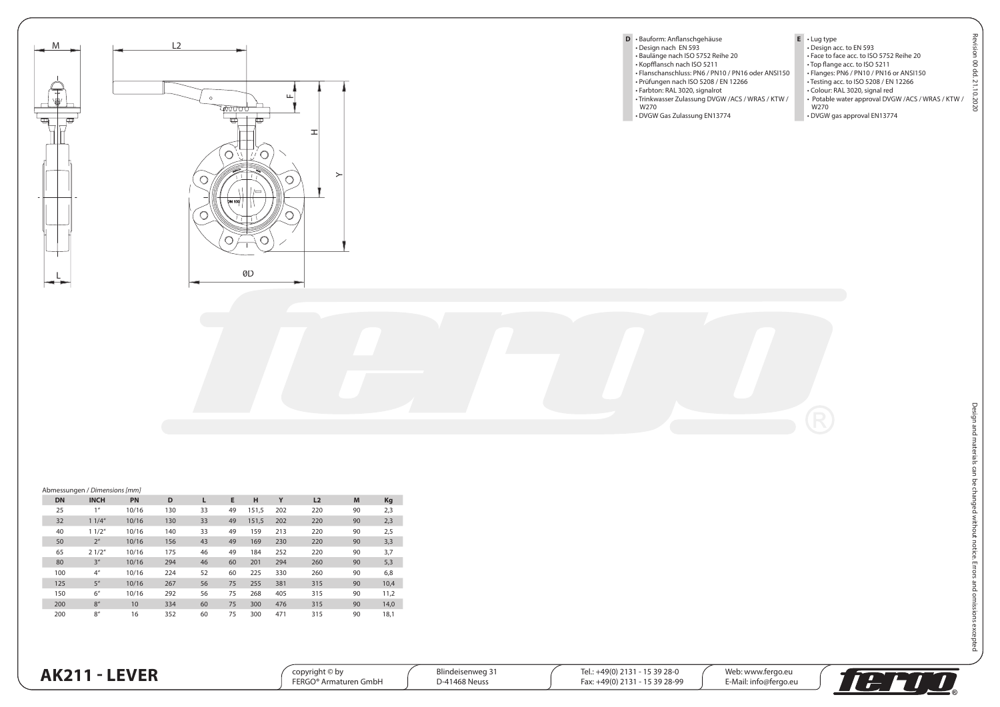

## **DN INCH PN D L E H Y L2 M Kg** 25 1" 10/16 130 33 49 151,5 202 220 90 2,3 32 1 1/4" 10/16 130 33 49 151,5 202 220 90 2,3 40 1 1/2" 10/16 140 33 49 159 213 220 90 2,5 50 2" 10/16 156 43 49 169 230 220 90 3,3 65 2 1/2" 10/16 175 46 49 184 252 220 90 3,7 80 3" 10/16 294 46 60 201 294 260 90 5,3

 4" 10/16 224 52 60 225 330 260 90 6,8 5" 10/16 267 56 75 255 381 315 90 10,4 6" 10/16 292 56 75 268 405 315 90 11,2 8" 10 334 60 75 300 476 315 90 14,0 8" 16 352 60 75 300 471 315 90 18,1

**AK211 - LEVER** 

Abmessungen / *Dimensions [mm]*

| Web: www.fergo.eu<br>Blindeisenweg 3<br>15 39 28-0<br>$+49(0)$<br>copvriaht © bv<br>lel.:<br>. .<br><b>FERGO</b><br>15 39 28-99<br>$+49(0)$<br>-41468 Neussبر<br>Fax:<br>√Gmb⊦ ،<br>: info@fergo.eu<br>Armaturen<br>÷-Mai.<br>- - |  |
|-----------------------------------------------------------------------------------------------------------------------------------------------------------------------------------------------------------------------------------|--|
|-----------------------------------------------------------------------------------------------------------------------------------------------------------------------------------------------------------------------------------|--|



Revision 00 dd. 21.10.2020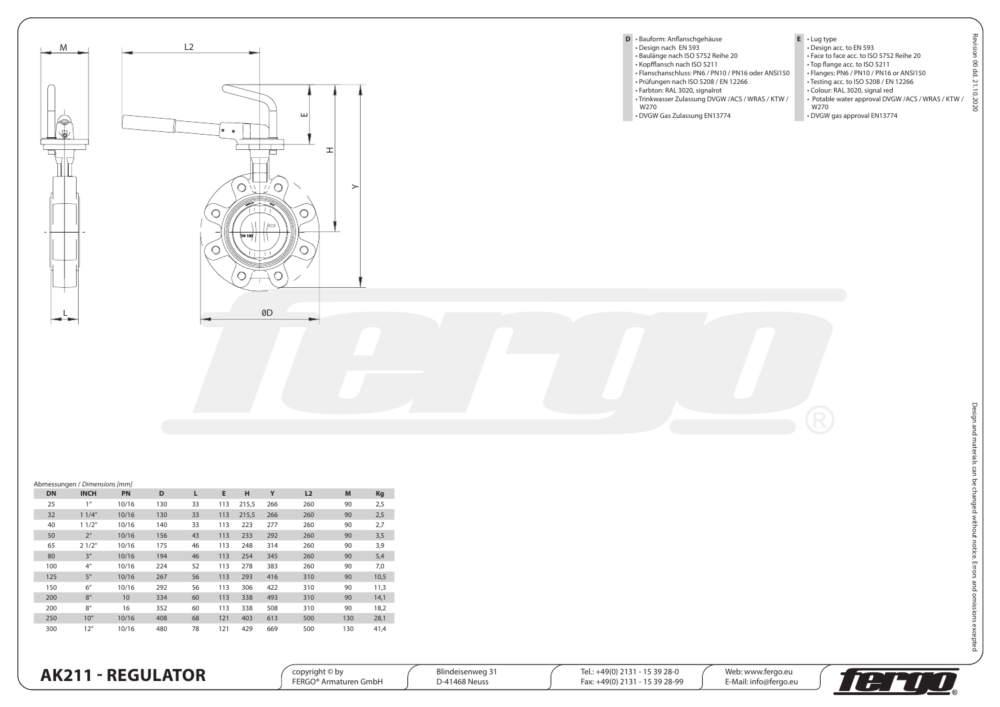

## Abmessungen / *Dimensions [mm]* **DN INCH PN D L E H Y L2 M Kg** 25 1" 10/16 130 33 113 215,5 266 260 90 2,5 32 1 1/4" 10/16 130 33 113 215,5 266 260 90 2,5 40 1 1/2" 10/16 140 33 113 223 277 260 90 2,7 50 2" 10/16 156 43 113 233 292 260 90 3,5 65 2 1/2" 10/16 175 46 113 248 314 260 90 3,9 80 3" 10/16 194 46 113 254 345 260 90 5,4 100 4" 10/16 224 52 113 278 383 260 90 7,0 125 5" 10/16 267 56 113 293 416 310 90 10,5 150 6" 10/16 292 56 113 306 422 310 90 11,3 200 8" 10 334 60 113 338 493 310 90 14,1 200 8" 16 352 60 113 338 508 310 90 18,2 250 10" 10/16 408 68 121 403 613 500 130 28,1

300 12" 10/16 480 78 121 429 669 500 130 41,4

**AK211 - REGULATOR** 

| $\mathsf{copyright} \otimes \mathsf{by}$<br><b>FERGO</b><br>' Armaturen GmbH | DI:<br>. د Blindeisenwed<br>1468 Neuss | \$5 39 28-0<br>$+49(0)$<br>╰<br>15 39 28-99<br>$-49(0)$<br>FdX. | Wet.<br>: www.ferao.eu<br>E-Mail: inf<br>: info@fergo.eu |  |
|------------------------------------------------------------------------------|----------------------------------------|-----------------------------------------------------------------|----------------------------------------------------------|--|
|------------------------------------------------------------------------------|----------------------------------------|-----------------------------------------------------------------|----------------------------------------------------------|--|

Revision 00 dd. 21.10.2020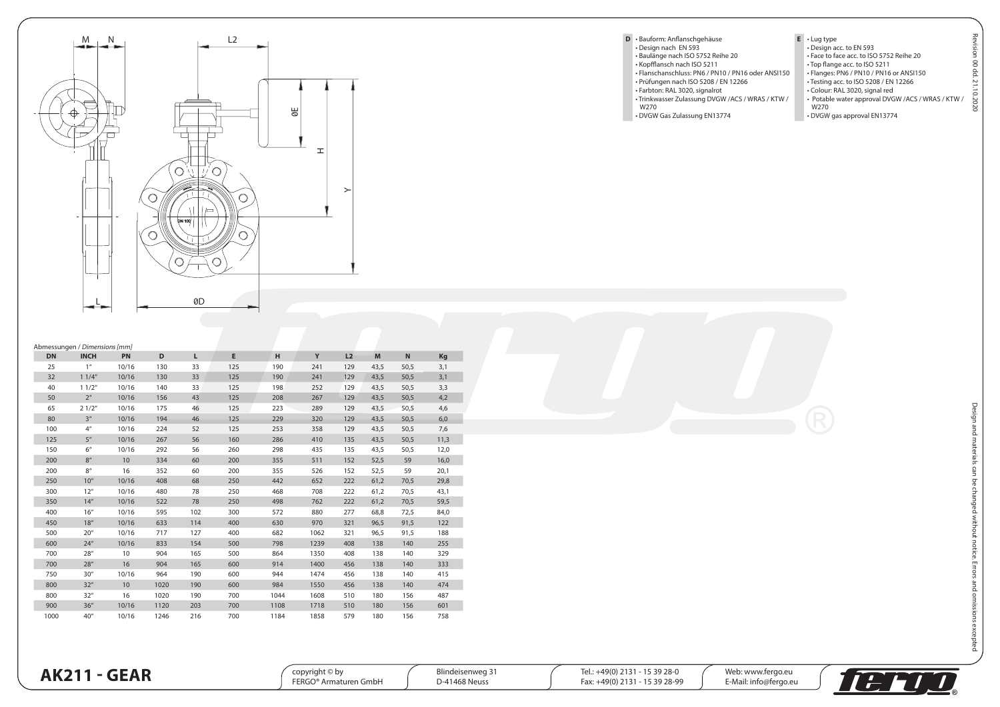

|                                                    | Е.                            | • Lug ty        |
|----------------------------------------------------|-------------------------------|-----------------|
| · Design nach EN 593                               |                               | • Design        |
| · Baulänge nach ISO 5752 Reihe 20                  |                               | • Face to       |
| • Kopfflansch nach ISO 5211                        |                               | $\cdot$ Top fla |
| · Flanschanschluss: PN6 / PN10 / PN16 oder ANSI150 |                               | • Flange        |
| · Prüfungen nach ISO 5208 / EN 12266               |                               | • Testinc       |
| · Farbton: RAL 3020, signalrot                     |                               | $\cdot$ Colour  |
| · Trinkwasser Zulassung DVGW / ACS / WRAS / KTW /  |                               | • Potabl        |
| W270                                               |                               | W270            |
| • DVGW Gas Zulassung EN13774                       |                               | · DVGW          |
|                                                    | D · Bauform: Anflanschgehäuse |                 |

**E** • Lug type • Design acc. to EN 593 • Face to face acc. to ISO 5752 Reihe 20 • Top flange acc. to ISO 5211 • Flanges: PN6 / PN10 / PN16 or ANSI150 • Testing acc. to ISO 5208 / EN 12266 • Colour: RAL 3020, signal red • Potable water approval DVGW /ACS / WRAS / KTW /

ion 00 dd. 21.10.2020

• DVGW gas approval EN13774

|           | Abmessungen / Dimensions [mm] |           |      |     |     |      |      |     |      |             |      |
|-----------|-------------------------------|-----------|------|-----|-----|------|------|-----|------|-------------|------|
| <b>DN</b> | <b>INCH</b>                   | <b>PN</b> | D    | L   | E   | н    | Y    | L2  | M    | $\mathsf N$ | Kg   |
| 25        | 1 <sup>u</sup>                | 10/16     | 130  | 33  | 125 | 190  | 241  | 129 | 43.5 | 50.5        | 3,1  |
| 32        | 11/4"                         | 10/16     | 130  | 33  | 125 | 190  | 241  | 129 | 43,5 | 50,5        | 3,1  |
| 40        | 11/2"                         | 10/16     | 140  | 33  | 125 | 198  | 252  | 129 | 43,5 | 50,5        | 3,3  |
| 50        | 2 <sup>u</sup>                | 10/16     | 156  | 43  | 125 | 208  | 267  | 129 | 43,5 | 50,5        | 4,2  |
| 65        | 21/2"                         | 10/16     | 175  | 46  | 125 | 223  | 289  | 129 | 43,5 | 50,5        | 4,6  |
| 80        | 3 <sup>u</sup>                | 10/16     | 194  | 46  | 125 | 229  | 320  | 129 | 43,5 | 50,5        | 6,0  |
| 100       | 4 <sup>''</sup>               | 10/16     | 224  | 52  | 125 | 253  | 358  | 129 | 43,5 | 50,5        | 7,6  |
| 125       | 5 <sup>''</sup>               | 10/16     | 267  | 56  | 160 | 286  | 410  | 135 | 43,5 | 50,5        | 11,3 |
| 150       | 6 <sup>''</sup>               | 10/16     | 292  | 56  | 260 | 298  | 435  | 135 | 43,5 | 50,5        | 12,0 |
| 200       | 8 <sup>u</sup>                | 10        | 334  | 60  | 200 | 355  | 511  | 152 | 52,5 | 59          | 16,0 |
| 200       | 8 <sup>u</sup>                | 16        | 352  | 60  | 200 | 355  | 526  | 152 | 52,5 | 59          | 20,1 |
| 250       | 10 <sup>u</sup>               | 10/16     | 408  | 68  | 250 | 442  | 652  | 222 | 61,2 | 70,5        | 29,8 |
| 300       | 12''                          | 10/16     | 480  | 78  | 250 | 468  | 708  | 222 | 61,2 | 70,5        | 43,1 |
| 350       | 14''                          | 10/16     | 522  | 78  | 250 | 498  | 762  | 222 | 61,2 | 70,5        | 59,5 |
| 400       | 16 <sup>u</sup>               | 10/16     | 595  | 102 | 300 | 572  | 880  | 277 | 68,8 | 72,5        | 84,0 |
| 450       | 18 <sup>u</sup>               | 10/16     | 633  | 114 | 400 | 630  | 970  | 321 | 96,5 | 91,5        | 122  |
| 500       | 20''                          | 10/16     | 717  | 127 | 400 | 682  | 1062 | 321 | 96,5 | 91,5        | 188  |
| 600       | 24''                          | 10/16     | 833  | 154 | 500 | 798  | 1239 | 408 | 138  | 140         | 255  |
| 700       | 28 <sup>u</sup>               | 10        | 904  | 165 | 500 | 864  | 1350 | 408 | 138  | 140         | 329  |
| 700       | 28''                          | 16        | 904  | 165 | 600 | 914  | 1400 | 456 | 138  | 140         | 333  |
| 750       | 30 <sup>u</sup>               | 10/16     | 964  | 190 | 600 | 944  | 1474 | 456 | 138  | 140         | 415  |
| 800       | 32 <sup>u</sup>               | 10        | 1020 | 190 | 600 | 984  | 1550 | 456 | 138  | 140         | 474  |
| 800       | 32''                          | 16        | 1020 | 190 | 700 | 1044 | 1608 | 510 | 180  | 156         | 487  |
| 900       | 36''                          | 10/16     | 1120 | 203 | 700 | 1108 | 1718 | 510 | 180  | 156         | 601  |
| 1000      | 40''                          | 10/16     | 1246 | 216 | 700 | 1184 | 1858 | 579 | 180  | 156         | 758  |
|           |                               |           |      |     |     |      |      |     |      |             |      |

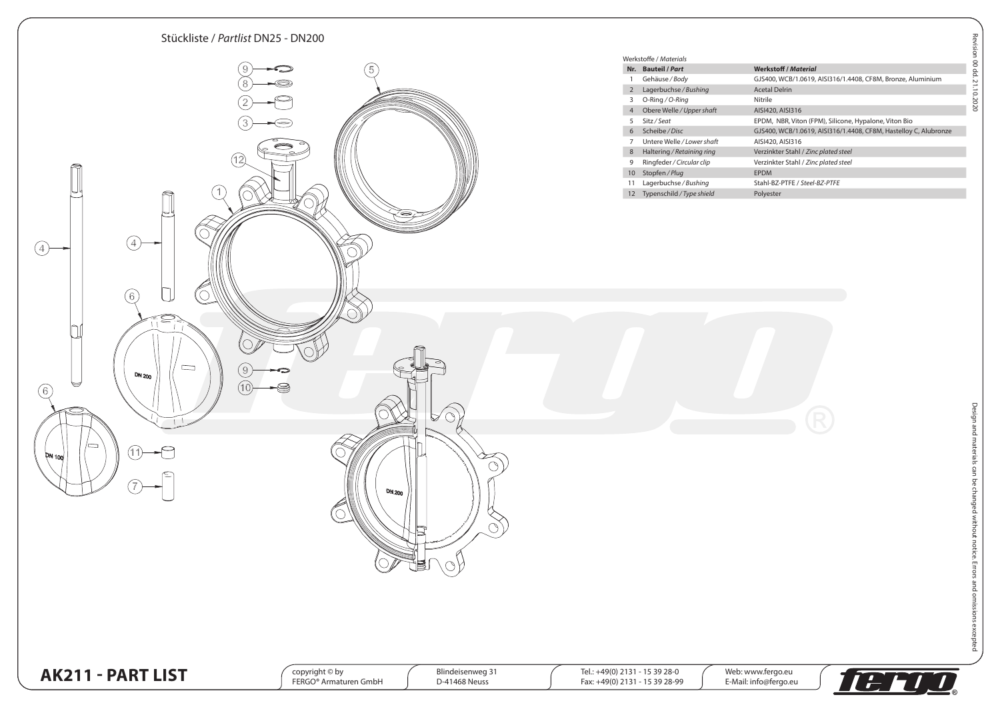

100 dd. 21.10.2020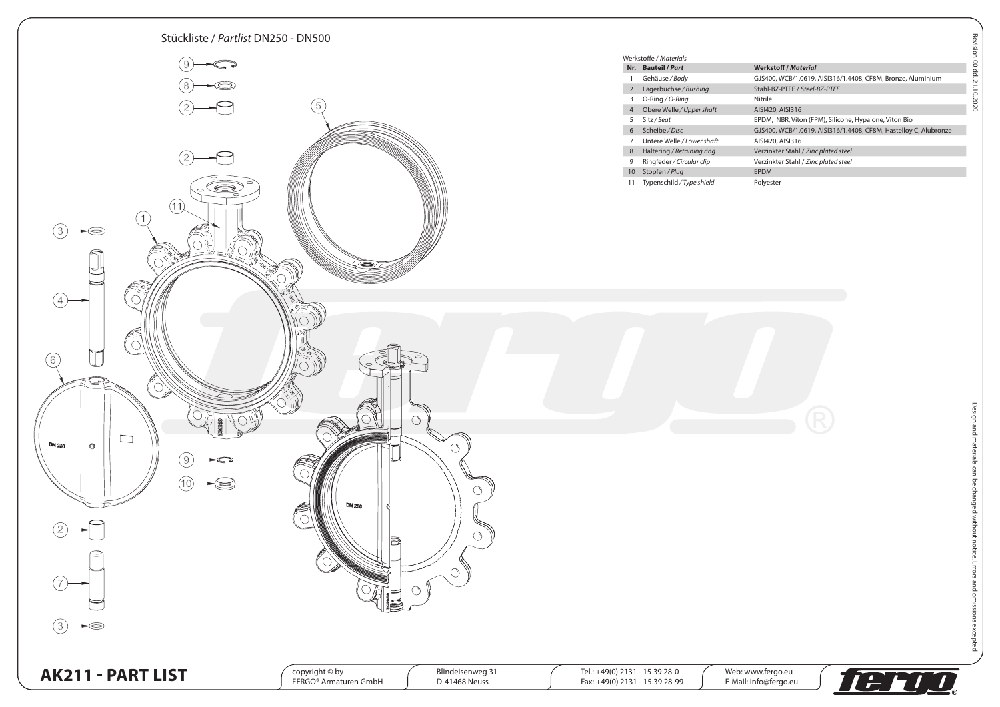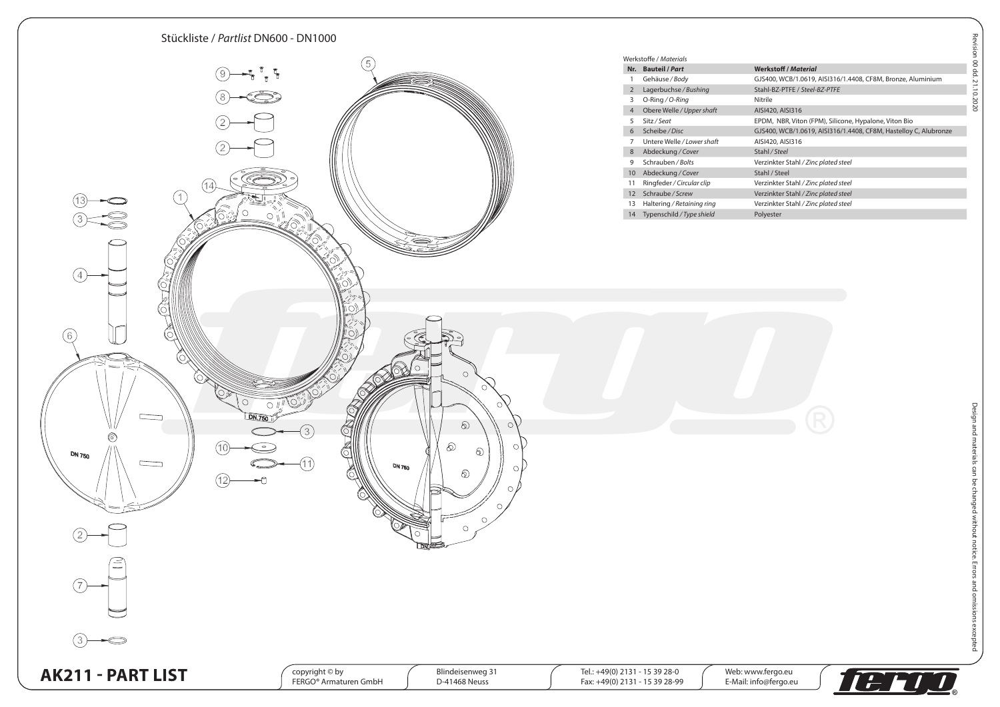

|                 | /erkstoffe / Materials     |                                                                  |
|-----------------|----------------------------|------------------------------------------------------------------|
| Nr.             | <b>Bauteil / Part</b>      | <b>Werkstoff / Material</b>                                      |
| 1               | Gehäuse / Body             | GJS400, WCB/1.0619, AISI316/1.4408, CF8M, Bronze, Aluminium      |
| 2               | Lagerbuchse / Bushing      | Stahl-BZ-PTFE / Steel-BZ-PTFE                                    |
| 3               | O-Ring / O-Ring            | Nitrile                                                          |
| $\overline{4}$  | Obere Welle / Upper shaft  | AISI420, AISI316                                                 |
| 5               | Sitz / Seat                | EPDM, NBR, Viton (FPM), Silicone, Hypalone, Viton Bio            |
| 6               | Scheibe / Disc             | GJS400, WCB/1.0619, AISI316/1.4408, CF8M, Hastelloy C, Alubronze |
| 7               | Untere Welle / Lower shaft | AISI420, AISI316                                                 |
| 8               | Abdeckung / Cover          | Stahl / Steel                                                    |
| 9               | Schrauben / Bolts          | Verzinkter Stahl / Zinc plated steel                             |
| 10 <sup>°</sup> | Abdeckung / Cover          | Stahl / Steel                                                    |
| 11              | Ringfeder / Circular clip  | Verzinkter Stahl / Zinc plated steel                             |
| 12              | Schraube / Screw           | Verzinkter Stahl / Zinc plated steel                             |
| 13              | Haltering / Retaining ring | Verzinkter Stahl / Zinc plated steel                             |
| 14              | Typenschild / Type shield  | Polyester                                                        |
|                 |                            |                                                                  |